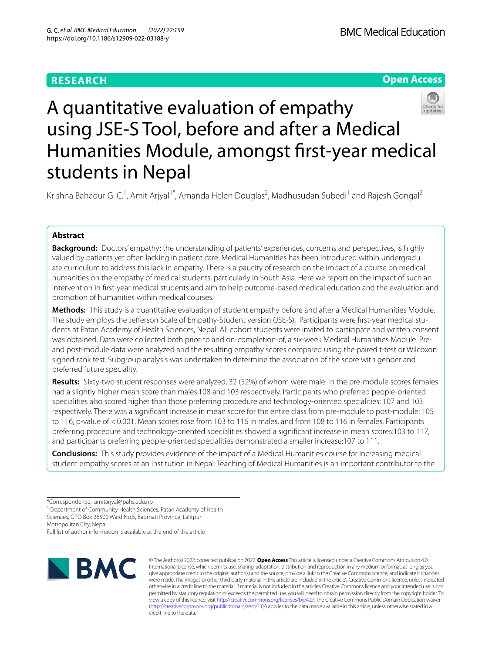## **RESEARCH**





# A quantitative evaluation of empathy using JSE-S Tool, before and after a Medical Humanities Module, amongst frst-year medical students in Nepal

Krishna Bahadur G. C.<sup>1</sup>, Amit Arjyal<sup>1\*</sup>, Amanda Helen Douglas<sup>2</sup>, Madhusudan Subedi<sup>1</sup> and Rajesh Gongal<sup>3</sup>

## **Abstract**

**Background:** Doctors' empathy: the understanding of patients' experiences, concerns and perspectives, is highly valued by patients yet often lacking in patient care. Medical Humanities has been introduced within undergraduate curriculum to address this lack in empathy. There is a paucity of research on the impact of a course on medical humanities on the empathy of medical students, particularly in South Asia. Here we report on the impact of such an intervention in frst-year medical students and aim to help outcome-based medical education and the evaluation and promotion of humanities within medical courses.

**Methods:** This study is a quantitative evaluation of student empathy before and after a Medical Humanities Module. The study employs the Jeferson Scale of Empathy-Student version (JSE-S). Participants were frst-year medical students at Patan Academy of Health Sciences, Nepal. All cohort students were invited to participate and written consent was obtained. Data were collected both prior-to and on-completion-of, a six-week Medical Humanities Module. Preand post-module data were analyzed and the resulting empathy scores compared using the paired t-test or Wilcoxon signed-rank test. Subgroup analysis was undertaken to determine the association of the score with gender and preferred future speciality.

**Results:** Sixty-two student responses were analyzed, 32 (52%) of whom were male. In the pre-module scores females had a slightly higher mean score than males:108 and 103 respectively. Participants who preferred people-oriented specialities also scored higher than those preferring procedure and technology-oriented specialities: 107 and 103 respectively. There was a signifcant increase in mean score for the entire class from pre-module to post-module: 105 to 116, p-value of <0.001. Mean scores rose from 103 to 116 in males, and from 108 to 116 in females. Participants preferring procedure and technology-oriented specialities showed a signifcant increase in mean scores:103 to 117, and participants preferring people-oriented specialities demonstrated a smaller increase:107 to 111.

**Conclusions:** This study provides evidence of the impact of a Medical Humanities course for increasing medical student empathy scores at an institution in Nepal. Teaching of Medical Humanities is an important contributor to the

Metropolitan City, Nepal

Full list of author information is available at the end of the article



© The Author(s) 2022, corrected publication 2022. **Open Access** This article is licensed under a Creative Commons Attribution 4.0 International License, which permits use, sharing, adaptation, distribution and reproduction in any medium or format, as long as you give appropriate credit to the original author(s) and the source, provide a link to the Creative Commons licence, and indicate if changes were made. The images or other third party material in this article are included in the article's Creative Commons licence, unless indicated otherwise in a credit line to the material. If material is not included in the article's Creative Commons licence and your intended use is not permitted by statutory regulation or exceeds the permitted use, you will need to obtain permission directly from the copyright holder. To view a copy of this licence, visit [http://creativecommons.org/licenses/by/4.0/.](http://creativecommons.org/licenses/by/4.0/) The Creative Commons Public Domain Dedication waiver [\(http://creativecommons.org/publicdomain/zero/1.0/\)](http://creativecommons.org/publicdomain/zero/1.0/) applies to the data made available in this article, unless otherwise stated in a credit line to the data.

<sup>\*</sup>Correspondence: amitarjyal@pahs.edu.np

<sup>&</sup>lt;sup>1</sup> Department of Community Health Sciences, Patan Academy of Health Sciences, GPO Box 26500 Ward No.5, Bagmati Province, Lalitpur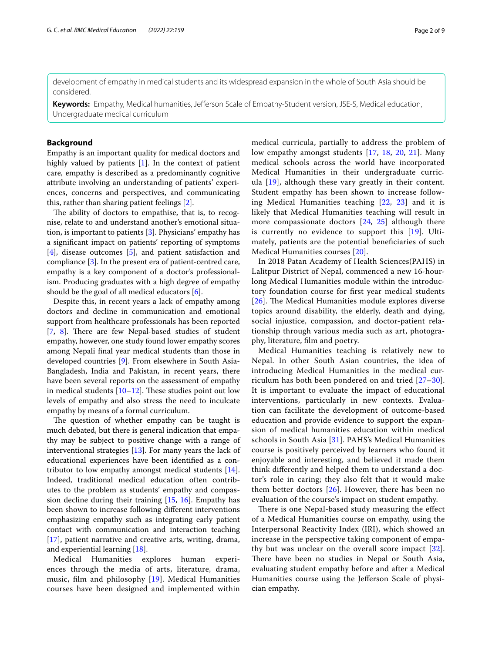development of empathy in medical students and its widespread expansion in the whole of South Asia should be considered.

**Keywords:** Empathy, Medical humanities, Jeferson Scale of Empathy-Student version, JSE-S, Medical education, Undergraduate medical curriculum

## **Background**

Empathy is an important quality for medical doctors and highly valued by patients [[1\]](#page-7-0). In the context of patient care, empathy is described as a predominantly cognitive attribute involving an understanding of patients' experiences, concerns and perspectives, and communicating this, rather than sharing patient feelings [[2\]](#page-7-1).

The ability of doctors to empathise, that is, to recognise, relate to and understand another's emotional situation, is important to patients [\[3](#page-7-2)]. Physicians' empathy has a signifcant impact on patients' reporting of symptoms [[4\]](#page-7-3), disease outcomes [\[5](#page-7-4)], and patient satisfaction and compliance [\[3\]](#page-7-2). In the present era of patient-centred care, empathy is a key component of a doctor's professionalism. Producing graduates with a high degree of empathy should be the goal of all medical educators [\[6](#page-7-5)].

Despite this, in recent years a lack of empathy among doctors and decline in communication and emotional support from healthcare professionals has been reported [[7,](#page-7-6) [8](#page-7-7)]. There are few Nepal-based studies of student empathy, however, one study found lower empathy scores among Nepali fnal year medical students than those in developed countries [[9\]](#page-7-8). From elsewhere in South Asia-Bangladesh, India and Pakistan, in recent years, there have been several reports on the assessment of empathy in medical students  $[10-12]$  $[10-12]$ . These studies point out low levels of empathy and also stress the need to inculcate empathy by means of a formal curriculum.

The question of whether empathy can be taught is much debated, but there is general indication that empathy may be subject to positive change with a range of interventional strategies [\[13](#page-7-11)]. For many years the lack of educational experiences have been identifed as a contributor to low empathy amongst medical students [\[14](#page-7-12)]. Indeed, traditional medical education often contributes to the problem as students' empathy and compassion decline during their training  $[15, 16]$  $[15, 16]$  $[15, 16]$  $[15, 16]$  $[15, 16]$ . Empathy has been shown to increase following diferent interventions emphasizing empathy such as integrating early patient contact with communication and interaction teaching [[17\]](#page-7-15), patient narrative and creative arts, writing, drama, and experiential learning [[18\]](#page-7-16).

Medical Humanities explores human experiences through the media of arts, literature, drama, music, flm and philosophy [\[19](#page-7-17)]. Medical Humanities courses have been designed and implemented within medical curricula, partially to address the problem of low empathy amongst students [\[17](#page-7-15), [18,](#page-7-16) [20,](#page-7-18) [21](#page-7-19)]. Many medical schools across the world have incorporated Medical Humanities in their undergraduate curricula  $[19]$  $[19]$  $[19]$ , although these vary greatly in their content. Student empathy has been shown to increase following Medical Humanities teaching [\[22](#page-7-20), [23](#page-7-21)] and it is likely that Medical Humanities teaching will result in more compassionate doctors  $[24, 25]$  $[24, 25]$  $[24, 25]$  $[24, 25]$  $[24, 25]$  although there is currently no evidence to support this [\[19\]](#page-7-17). Ultimately, patients are the potential benefciaries of such Medical Humanities courses [\[20](#page-7-18)].

In 2018 Patan Academy of Health Sciences(PAHS) in Lalitpur District of Nepal, commenced a new 16-hourlong Medical Humanities module within the introductory foundation course for frst year medical students [ $26$ ]. The Medical Humanities module explores diverse topics around disability, the elderly, death and dying, social injustice, compassion, and doctor-patient relationship through various media such as art, photography, literature, flm and poetry.

Medical Humanities teaching is relatively new to Nepal. In other South Asian countries, the idea of introducing Medical Humanities in the medical curriculum has both been pondered on and tried [[27–](#page-7-25)[30](#page-7-26)]. It is important to evaluate the impact of educational interventions, particularly in new contexts. Evaluation can facilitate the development of outcome-based education and provide evidence to support the expansion of medical humanities education within medical schools in South Asia [[31\]](#page-8-0). PAHS's Medical Humanities course is positively perceived by learners who found it enjoyable and interesting, and believed it made them think diferently and helped them to understand a doctor's role in caring; they also felt that it would make them better doctors  $[26]$  $[26]$  $[26]$ . However, there has been no evaluation of the course's impact on student empathy.

There is one Nepal-based study measuring the effect of a Medical Humanities course on empathy, using the Interpersonal Reactivity Index (IRI), which showed an increase in the perspective taking component of empathy but was unclear on the overall score impact [[32](#page-8-1)]. There have been no studies in Nepal or South Asia, evaluating student empathy before and after a Medical Humanities course using the Jeferson Scale of physician empathy.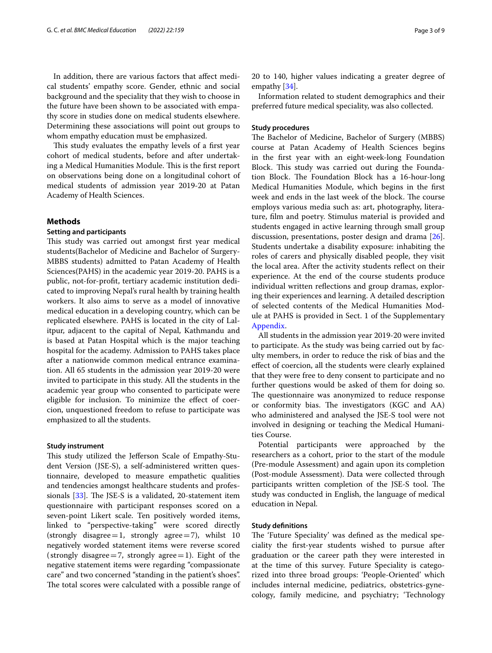In addition, there are various factors that afect medical students' empathy score. Gender, ethnic and social background and the speciality that they wish to choose in the future have been shown to be associated with empathy score in studies done on medical students elsewhere. Determining these associations will point out groups to whom empathy education must be emphasized.

This study evaluates the empathy levels of a first year cohort of medical students, before and after undertaking a Medical Humanities Module. This is the first report on observations being done on a longitudinal cohort of medical students of admission year 2019-20 at Patan Academy of Health Sciences.

## **Methods**

## **Setting and participants**

This study was carried out amongst first year medical students(Bachelor of Medicine and Bachelor of Surgery-MBBS students) admitted to Patan Academy of Health Sciences(PAHS) in the academic year 2019-20. PAHS is a public, not-for-proft, tertiary academic institution dedicated to improving Nepal's rural health by training health workers. It also aims to serve as a model of innovative medical education in a developing country, which can be replicated elsewhere. PAHS is located in the city of Lalitpur, adjacent to the capital of Nepal, Kathmandu and is based at Patan Hospital which is the major teaching hospital for the academy. Admission to PAHS takes place after a nationwide common medical entrance examination. All 65 students in the admission year 2019-20 were invited to participate in this study. All the students in the academic year group who consented to participate were eligible for inclusion. To minimize the efect of coercion, unquestioned freedom to refuse to participate was emphasized to all the students.

#### **Study instrument**

This study utilized the Jefferson Scale of Empathy-Student Version (JSE-S), a self-administered written questionnaire, developed to measure empathetic qualities and tendencies amongst healthcare students and professionals  $[33]$  $[33]$ . The JSE-S is a validated, 20-statement item questionnaire with participant responses scored on a seven-point Likert scale. Ten positively worded items, linked to "perspective-taking" were scored directly (strongly disagree=1, strongly agree=7), whilst  $10$ negatively worded statement items were reverse scored (strongly disagree  $=7$ , strongly agree  $=1$ ). Eight of the negative statement items were regarding "compassionate care" and two concerned "standing in the patient's shoes". The total scores were calculated with a possible range of 20 to 140, higher values indicating a greater degree of empathy [\[34](#page-8-3)].

Information related to student demographics and their preferred future medical speciality, was also collected.

#### **Study procedures**

The Bachelor of Medicine, Bachelor of Surgery (MBBS) course at Patan Academy of Health Sciences begins in the frst year with an eight-week-long Foundation Block. This study was carried out during the Foundation Block. The Foundation Block has a 16-hour-long Medical Humanities Module, which begins in the frst week and ends in the last week of the block. The course employs various media such as: art, photography, literature, flm and poetry. Stimulus material is provided and students engaged in active learning through small group discussion, presentations, poster design and drama [\[26](#page-7-24)]. Students undertake a disability exposure: inhabiting the roles of carers and physically disabled people, they visit the local area. After the activity students refect on their experience. At the end of the course students produce individual written refections and group dramas, exploring their experiences and learning. A detailed description of selected contents of the Medical Humanities Module at PAHS is provided in Sect. 1 of the Supplementary [Appendix](#page-6-0).

All students in the admission year 2019-20 were invited to participate. As the study was being carried out by faculty members, in order to reduce the risk of bias and the efect of coercion, all the students were clearly explained that they were free to deny consent to participate and no further questions would be asked of them for doing so. The questionnaire was anonymized to reduce response or conformity bias. The investigators (KGC and AA) who administered and analysed the JSE-S tool were not involved in designing or teaching the Medical Humanities Course.

Potential participants were approached by the researchers as a cohort, prior to the start of the module (Pre-module Assessment) and again upon its completion (Post-module Assessment). Data were collected through participants written completion of the JSE-S tool. The study was conducted in English, the language of medical education in Nepal.

## **Study defnitions**

The 'Future Speciality' was defined as the medical speciality the frst-year students wished to pursue after graduation or the career path they were interested in at the time of this survey. Future Speciality is categorized into three broad groups: 'People-Oriented' which includes internal medicine, pediatrics, obstetrics-gynecology, family medicine, and psychiatry; 'Technology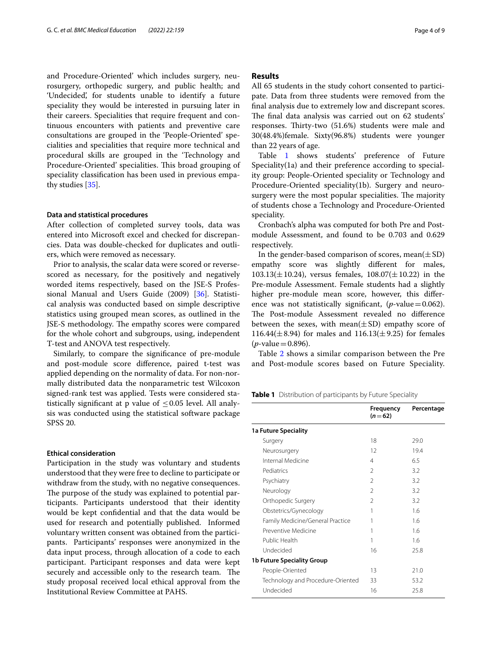and Procedure-Oriented' which includes surgery, neurosurgery, orthopedic surgery, and public health; and 'Undecided', for students unable to identify a future speciality they would be interested in pursuing later in their careers. Specialities that require frequent and continuous encounters with patients and preventive care consultations are grouped in the 'People-Oriented' specialities and specialities that require more technical and procedural skills are grouped in the 'Technology and Procedure-Oriented' specialities. This broad grouping of speciality classifcation has been used in previous empathy studies [[35\]](#page-8-4).

## **Data and statistical procedures**

After collection of completed survey tools, data was entered into Microsoft excel and checked for discrepancies. Data was double-checked for duplicates and outliers, which were removed as necessary.

Prior to analysis, the scalar data were scored or reversescored as necessary, for the positively and negatively worded items respectively, based on the JSE-S Professional Manual and Users Guide (2009) [[36\]](#page-8-5). Statistical analysis was conducted based on simple descriptive statistics using grouped mean scores, as outlined in the JSE-S methodology. The empathy scores were compared for the whole cohort and subgroups, using, independent T-test and ANOVA test respectively.

Similarly, to compare the signifcance of pre-module and post-module score diference, paired t-test was applied depending on the normality of data. For non-normally distributed data the nonparametric test Wilcoxon signed-rank test was applied. Tests were considered statistically significant at p value of  $\leq 0.05$  level. All analysis was conducted using the statistical software package SPSS 20.

## **Ethical consideration**

Participation in the study was voluntary and students understood that they were free to decline to participate or withdraw from the study, with no negative consequences. The purpose of the study was explained to potential participants. Participants understood that their identity would be kept confdential and that the data would be used for research and potentially published. Informed voluntary written consent was obtained from the participants. Participants' responses were anonymized in the data input process, through allocation of a code to each participant. Participant responses and data were kept securely and accessible only to the research team. The study proposal received local ethical approval from the Institutional Review Committee at PAHS.

## **Results**

All 65 students in the study cohort consented to participate. Data from three students were removed from the fnal analysis due to extremely low and discrepant scores. The final data analysis was carried out on 62 students' responses. Thirty-two (51.6%) students were male and 30(48.4%)female. Sixty(96.8%) students were younger than 22 years of age.

Table [1](#page-3-0) shows students' preference of Future Speciality(1a) and their preference according to speciality group: People-Oriented speciality or Technology and Procedure-Oriented speciality(1b). Surgery and neurosurgery were the most popular specialities. The majority of students chose a Technology and Procedure-Oriented speciality.

Cronbach's alpha was computed for both Pre and Postmodule Assessment, and found to be 0.703 and 0.629 respectively.

In the gender-based comparison of scores, mean $(\pm SD)$ empathy score was slightly diferent for males, 103.13( $\pm$ 10.24), versus females, 108.07( $\pm$ 10.22) in the Pre-module Assessment. Female students had a slightly higher pre-module mean score, however, this diference was not statistically significant,  $(p$ -value=0.062). The Post-module Assessment revealed no difference between the sexes, with mean $(\pm SD)$  empathy score of 116.44( $\pm$ 8.94) for males and 116.13( $\pm$ 9.25) for females  $(p$ -value = 0.896).

Table [2](#page-4-0) shows a similar comparison between the Pre and Post-module scores based on Future Speciality.

<span id="page-3-0"></span>**Table 1** Distribution of participants by Future Speciality

|                                   | Frequency<br>$(n=62)$ | Percentage |
|-----------------------------------|-----------------------|------------|
| <b>1a Future Speciality</b>       |                       |            |
| Surgery                           | 18                    | 29.0       |
| Neurosurgery                      | 12                    | 19.4       |
| Internal Medicine                 | 4                     | 6.5        |
| Pediatrics                        | $\mathfrak{D}$        | 3.2        |
| Psychiatry                        | $\mathfrak{D}$        | 3.2        |
| Neurology                         | $\mathfrak{D}$        | 3.2        |
| Orthopedic Surgery                | $\mathfrak{D}$        | 3.2        |
| Obstetrics/Gynecology             | 1                     | 1.6        |
| Family Medicine/General Practice  | 1                     | 1.6        |
| Preventive Medicine               | 1                     | 16         |
| Public Health                     | 1                     | 1.6        |
| Undecided                         | 16                    | 25.8       |
| <b>1b Future Speciality Group</b> |                       |            |
| People-Oriented                   | 13                    | 21.0       |
| Technology and Procedure-Oriented | 33                    | 53.2       |
| Undecided                         | 16                    | 25.8       |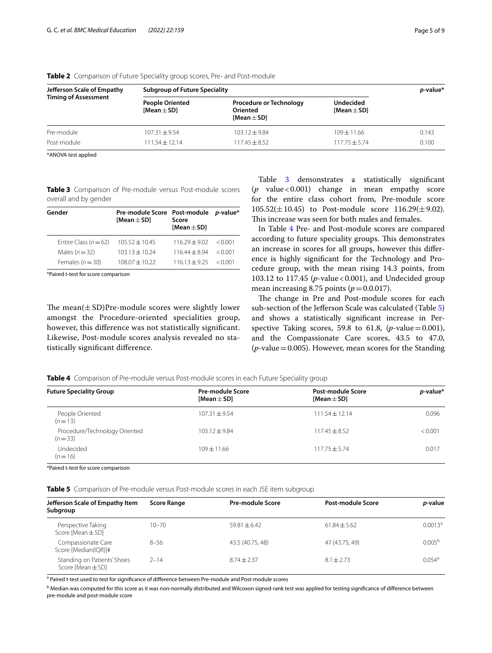| Jefferson Scale of Empathy<br><b>Timing of Assessment</b> | <b>Subgroup of Future Speciality</b>      | p-value*                                                      |                                     |       |
|-----------------------------------------------------------|-------------------------------------------|---------------------------------------------------------------|-------------------------------------|-------|
|                                                           | <b>People Oriented</b><br>[Mean $\pm$ SD] | <b>Procedure or Technology</b><br>Oriented<br>[Mean $\pm$ SD] | <b>Undecided</b><br>[Mean $\pm$ SD] |       |
| Pre-module                                                | $107.31 + 9.54$                           | $103.12 \pm 9.84$                                             | $109 + 11.66$                       | 0.143 |
| Post-module                                               | $111.54 \pm 12.14$                        | $117.45 + 8.52$                                               | $117.75 + 5.74$                     | 0.100 |

<span id="page-4-0"></span>**Table 2** Comparison of Future Speciality group scores, Pre- and Post-module

\*ANOVA test applied

<span id="page-4-1"></span>**Table 3** Comparison of Pre-module versus Post-module scores overall and by gender

| Gender                    | Pre-module Score Post-module<br>[Mean $\pm$ SD] | Score<br>[Mean $\pm$ SD] | <i>p</i> -value* |
|---------------------------|-------------------------------------------------|--------------------------|------------------|
| Entire Class ( $n = 62$ ) | $105.52 \pm 10.45$                              | $11629 + 902$            | $\leq$ 0.001     |
| Males $(n=32)$            | $10313 + 1024$                                  | $11644 + 894$            | $\leq$ 0.001     |
| Females ( $n = 30$ )      | $108.07 \pm 10.22$                              | $11613 + 925$            | $\leq$ 0.001     |

\*Paired t-test for score comparison

The mean $(\pm SD)$ Pre-module scores were slightly lower amongst the Procedure-oriented specialities group, however, this diference was not statistically signifcant. Likewise, Post-module scores analysis revealed no statistically signifcant diference.

Table [3](#page-4-1) demonstrates a statistically signifcant (*p* value<0.001) change in mean empathy score for the entire class cohort from, Pre-module score  $105.52(\pm 10.45)$  to Post-module score  $116.29(\pm 9.02)$ . This increase was seen for both males and females.

In Table [4](#page-4-2) Pre- and Post-module scores are compared according to future speciality groups. This demonstrates an increase in scores for all groups, however this diference is highly signifcant for the Technology and Procedure group, with the mean rising 14.3 points, from 103.12 to 117.45 (*p*-value<0.001), and Undecided group mean increasing 8.75 points  $(p=0.0.017)$ .

The change in Pre and Post-module scores for each sub-section of the Jefferson Scale was calculated (Table [5](#page-4-3)) and shows a statistically signifcant increase in Perspective Taking scores, 59.8 to 61.8,  $(p$ -value=0.001), and the Compassionate Care scores, 43.5 to 47.0,  $(p$ -value = 0.005). However, mean scores for the Standing

<span id="page-4-2"></span>

|  | Table 4 Comparison of Pre-module versus Post-module scores in each Future Speciality group |  |  |
|--|--------------------------------------------------------------------------------------------|--|--|
|  |                                                                                            |  |  |

| <b>Future Speciality Group</b>            | <b>Pre-module Score</b><br>[Mean $\pm$ SD] | Post-module Score<br>[Mean $\pm$ SD] | $p$ -value* |
|-------------------------------------------|--------------------------------------------|--------------------------------------|-------------|
| People Oriented<br>$(n=13)$               | $107.31 + 9.54$                            | $111.54 + 12.14$                     | 0.096       |
| Procedure/Technology Oriented<br>$(n=33)$ | $103.12 + 9.84$                            | $117.45 \pm 8.52$                    | < 0.001     |
| Undecided<br>$(n=16)$                     | $109 + 11.66$                              | $117.75 + 5.74$                      | 0.017       |

\*Paired t-test for score comparison

<span id="page-4-3"></span>**Table 5** Comparison of Pre-module versus Post-module scores in each JSE item subgroup

| Jefferson Scale of Empathy Item<br>Subgroup          | <b>Score Range</b> | <b>Pre-module Score</b> | Post-module Score | <i>p</i> -value      |
|------------------------------------------------------|--------------------|-------------------------|-------------------|----------------------|
|                                                      |                    |                         |                   |                      |
| Perspective Taking<br>Score [Mean $\pm$ SD]          | $10 - 70$          | $59.81 + 6.42$          | $61.84 + 5.62$    | $0.0013^a$           |
| Compassionate Care<br>Score [Median(IQR)]#           | $8 - 56$           | 43.5 (40.75, 48)        | 47 (43.75, 49)    | $0.005^{b}$          |
| Standing on Patients' Shoes<br>Score [Mean $\pm$ SD] | $2 - 14$           | $8.74 + 2.37$           | $8.1 + 2.73$      | $0.054$ <sup>a</sup> |

<sup>a</sup> Paired t-test used to test for significance of difference between Pre-module and Post-module scores

<sup>b</sup> Median was computed for this score as it was non-normally distributed and Wilcoxon signed-rank test was applied for testing significance of difference between pre-module and post-module score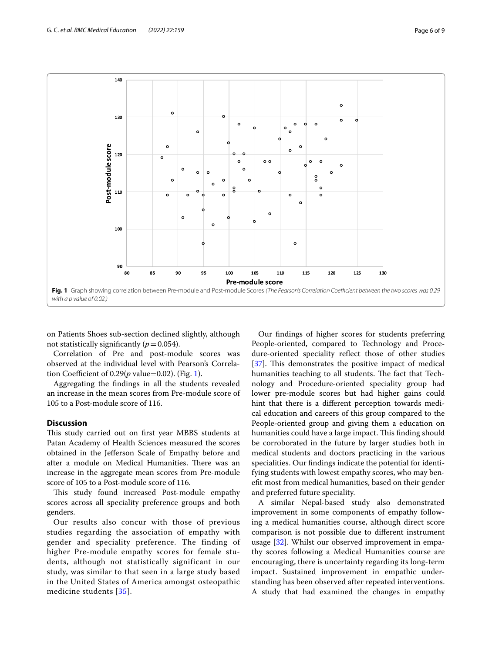

<span id="page-5-0"></span>on Patients Shoes sub-section declined slightly, although not statistically significantly  $(p=0.054)$ .

Correlation of Pre and post-module scores was observed at the individual level with Pearson's Correlation Coefficient of  $0.29(p \text{ value} = 0.02)$ . (Fig. [1\)](#page-5-0).

Aggregating the fndings in all the students revealed an increase in the mean scores from Pre-module score of 105 to a Post-module score of 116.

## **Discussion**

This study carried out on first year MBBS students at Patan Academy of Health Sciences measured the scores obtained in the Jeferson Scale of Empathy before and after a module on Medical Humanities. There was an increase in the aggregate mean scores from Pre-module score of 105 to a Post-module score of 116.

This study found increased Post-module empathy scores across all speciality preference groups and both genders.

Our results also concur with those of previous studies regarding the association of empathy with gender and speciality preference. The finding of higher Pre-module empathy scores for female students, although not statistically significant in our study, was similar to that seen in a large study based in the United States of America amongst osteopathic medicine students [\[35\]](#page-8-4).

Our fndings of higher scores for students preferring People-oriented, compared to Technology and Procedure-oriented speciality refect those of other studies [[37\]](#page-8-6). This demonstrates the positive impact of medical humanities teaching to all students. The fact that Technology and Procedure-oriented speciality group had lower pre-module scores but had higher gains could hint that there is a diferent perception towards medical education and careers of this group compared to the People-oriented group and giving them a education on humanities could have a large impact. This finding should be corroborated in the future by larger studies both in medical students and doctors practicing in the various specialities. Our fndings indicate the potential for identifying students with lowest empathy scores, who may beneft most from medical humanities, based on their gender and preferred future speciality.

A similar Nepal-based study also demonstrated improvement in some components of empathy following a medical humanities course, although direct score comparison is not possible due to diferent instrument usage [\[32](#page-8-1)]. Whilst our observed improvement in empathy scores following a Medical Humanities course are encouraging, there is uncertainty regarding its long-term impact. Sustained improvement in empathic understanding has been observed after repeated interventions. A study that had examined the changes in empathy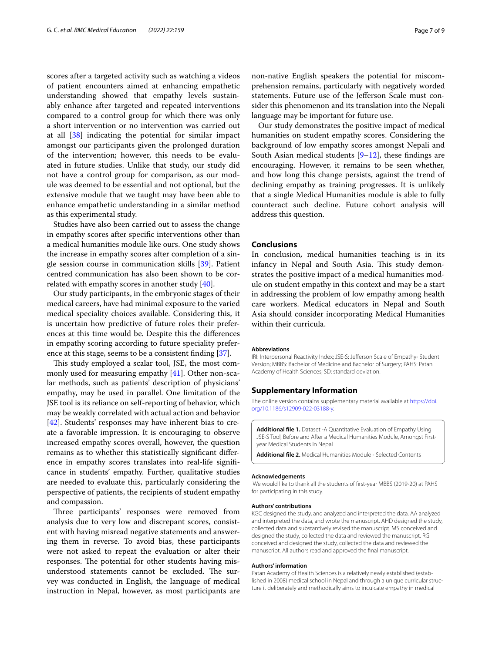scores after a targeted activity such as watching a videos of patient encounters aimed at enhancing empathetic understanding showed that empathy levels sustainably enhance after targeted and repeated interventions compared to a control group for which there was only a short intervention or no intervention was carried out at all [\[38](#page-8-7)] indicating the potential for similar impact amongst our participants given the prolonged duration of the intervention; however, this needs to be evaluated in future studies. Unlike that study, our study did not have a control group for comparison, as our module was deemed to be essential and not optional, but the extensive module that we taught may have been able to enhance empathetic understanding in a similar method as this experimental study.

Studies have also been carried out to assess the change in empathy scores after specifc interventions other than a medical humanities module like ours. One study shows the increase in empathy scores after completion of a single session course in communication skills [[39\]](#page-8-8). Patient centred communication has also been shown to be correlated with empathy scores in another study [\[40\]](#page-8-9).

Our study participants, in the embryonic stages of their medical careers, have had minimal exposure to the varied medical speciality choices available. Considering this, it is uncertain how predictive of future roles their preferences at this time would be. Despite this the diferences in empathy scoring according to future speciality preference at this stage, seems to be a consistent fnding [\[37](#page-8-6)].

This study employed a scalar tool, JSE, the most commonly used for measuring empathy [[41\]](#page-8-10). Other non-scalar methods, such as patients' description of physicians' empathy, may be used in parallel. One limitation of the JSE tool is its reliance on self-reporting of behavior, which may be weakly correlated with actual action and behavior [[42\]](#page-8-11). Students' responses may have inherent bias to create a favorable impression. It is encouraging to observe increased empathy scores overall, however, the question remains as to whether this statistically signifcant diference in empathy scores translates into real-life signifcance in students' empathy. Further, qualitative studies are needed to evaluate this, particularly considering the perspective of patients, the recipients of student empathy and compassion.

Three participants' responses were removed from analysis due to very low and discrepant scores, consistent with having misread negative statements and answering them in reverse. To avoid bias, these participants were not asked to repeat the evaluation or alter their responses. The potential for other students having misunderstood statements cannot be excluded. The survey was conducted in English, the language of medical instruction in Nepal, however, as most participants are

non-native English speakers the potential for miscomprehension remains, particularly with negatively worded statements. Future use of the Jeferson Scale must consider this phenomenon and its translation into the Nepali language may be important for future use.

Our study demonstrates the positive impact of medical humanities on student empathy scores. Considering the background of low empathy scores amongst Nepali and South Asian medical students  $[9-12]$  $[9-12]$  $[9-12]$ , these findings are encouraging. However, it remains to be seen whether, and how long this change persists, against the trend of declining empathy as training progresses. It is unlikely that a single Medical Humanities module is able to fully counteract such decline. Future cohort analysis will address this question.

## **Conclusions**

In conclusion, medical humanities teaching is in its infancy in Nepal and South Asia. This study demonstrates the positive impact of a medical humanities module on student empathy in this context and may be a start in addressing the problem of low empathy among health care workers. Medical educators in Nepal and South Asia should consider incorporating Medical Humanities within their curricula.

#### **Abbreviations**

IRI: Interpersonal Reactivity Index; JSE-S: Jefferson Scale of Empathy- Student Version; MBBS: Bachelor of Medicine and Bachelor of Surgery; PAHS: Patan Academy of Health Sciences; SD: standard deviation.

#### **Supplementary Information**

The online version contains supplementary material available at [https://doi.](https://doi.org/10.1186/s12909-022-03188-y) [org/10.1186/s12909-022-03188-y.](https://doi.org/10.1186/s12909-022-03188-y)

**Additional fle 1.** Dataset -A Quantitative Evaluation of Empathy Using JSE-S Tool, Before and After a Medical Humanities Module, Amongst Firstyear Medical Students in Nepal

<span id="page-6-0"></span>**Additional fle 2.** Medical Humanities Module - Selected Contents

#### **Acknowledgements**

 We would like to thank all the students of frst-year MBBS (2019-20) at PAHS for participating in this study.

#### **Authors' contributions**

KGC designed the study, and analyzed and interpreted the data. AA analyzed and interpreted the data, and wrote the manuscript. AHD designed the study, collected data and substantively revised the manuscript. MS conceived and designed the study, collected the data and reviewed the manuscript. RG conceived and designed the study, collected the data and reviewed the manuscript. All authors read and approved the fnal manuscript.

#### **Authors' information**

Patan Academy of Health Sciences is a relatively newly established (established in 2008) medical school in Nepal and through a unique curricular structure it deliberately and methodically aims to inculcate empathy in medical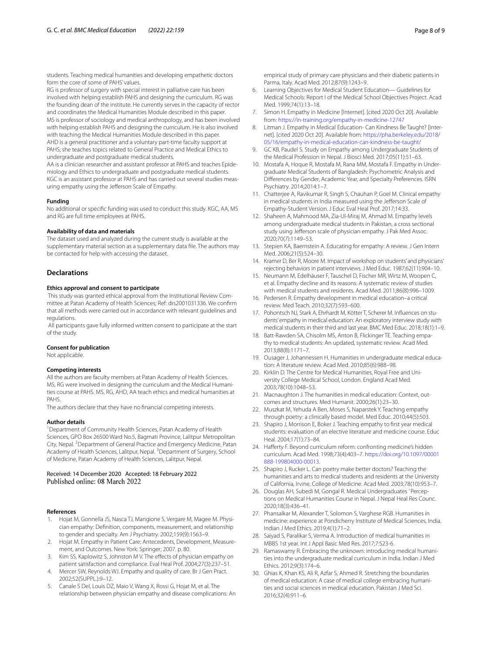students. Teaching medical humanities and developing empathetic doctors form the core of some of PAHS' values.

RG is professor of surgery with special interest in palliative care has been involved with helping establish PAHS and designing the curriculum. RG was the founding dean of the institute. He currently serves in the capacity of rector and coordinates the Medical Humanities Module described in this paper. MS is professor of sociology and medical anthropology, and has been involved with helping establish PAHS and designing the curriculum. He is also involved with teaching the Medical Humanities Module described in this paper. AHD is a general practitioner and a voluntary part-time faculty support at PAHS; she teaches topics related to General Practice and Medical Ethics to undergraduate and postgraduate medical students.

AA is a clinician researcher and assistant professor at PAHS and teaches Epidemiology and Ethics to undergraduate and postgraduate medical students. KGC is an assistant professor at PAHS and has carried out several studies measuring empathy using the Jeferson Scale of Empathy.

#### **Funding**

No additional or specifc funding was used to conduct this study. KGC, AA, MS and RG are full time employees at PAHS.

#### **Availability of data and materials**

The dataset used and analyzed during the current study is available at the supplementary material section as a supplementary data fle. The authors may be contacted for help with accessing the dataset.

#### **Declarations**

#### **Ethics approval and consent to participate**

 This study was granted ethical approval from the Institutional Review Committee at Patan Academy of Health Sciences; Ref: drs2001031336. We confrm that all methods were carried out in accordance with relevant guidelines and regulations.

 All participants gave fully informed written consent to participate at the start of the study.

#### **Consent for publication**

Not applicable.

#### **Competing interests**

All the authors are faculty members at Patan Academy of Health Sciences. MS, RG were involved in designing the curriculum and the Medical Humanities course at PAHS. MS, RG, AHD, AA teach ethics and medical humanities at PAHS.

The authors declare that they have no fnancial competing interests.

#### **Author details**

<sup>1</sup> Department of Community Health Sciences, Patan Academy of Health Sciences, GPO Box 26500 Ward No.5, Bagmati Province, Lalitpur Metropolitan City, Nepal. <sup>2</sup> Department of General Practice and Emergency Medicine, Patan Academy of Health Sciences, Lalitpur, Nepal. <sup>3</sup> Department of Surgery, School of Medicine, Patan Academy of Health Sciences, Lalitpur, Nepal.

# Received: 14 December 2020 Accepted: 18 February 2022

#### **References**

- <span id="page-7-0"></span>1. Hojat M, Gonnella JS, Nasca TJ, Mangione S, Vergare M, Magee M. Physician empathy: Defnition, components, measurement, and relationship to gender and specialty. Am J Psychiatry. 2002;159(9):1563–9.
- <span id="page-7-1"></span>2. Hojat M. Empathy in Patient Care: Antecedents, Development, Measurement, and Outcomes. New York: Springer; 2007. p. 80.
- <span id="page-7-2"></span>3. Kim SS, Kaplowitz S, Johnston M V. The efects of physician empathy on patient satisfaction and compliance. Eval Heal Prof. 2004;27(3):237–51.
- <span id="page-7-3"></span>4. Mercer SW, Reynolds WJ. Empathy and quality of care. Br J Gen Pract. 2002;52(SUPPL.):9–12.
- <span id="page-7-4"></span>5. Canale S Del, Louis DZ, Maio V, Wang X, Rossi G, Hojat M, et al. The relationship between physician empathy and disease complications: An

empirical study of primary care physicians and their diabetic patients in Parma, Italy. Acad Med. 2012;87(9):1243–9.

- <span id="page-7-5"></span>6. Learning Objectives for Medical Student Education— Guidelines for Medical Schools: Report I of the Medical School Objectives Project. Acad Med. 1999;74(1):13–18.
- <span id="page-7-6"></span>7. Simon H. Empathy in Medicine [Internet]. [cited 2020 Oct 20]. Available from: <https://in-training.org/empathy-in-medicine-12747>
- <span id="page-7-7"></span>8. Litman J. Empathy in Medical Education- Can Kindness Be Taught? [Internet]. [cited 2020 Oct 20]. Available from: [https://pha.berkeley.edu/2018/](https://pha.berkeley.edu/2018/05/16/empathy-in-medical-education-can-kindness-be-taught/) [05/16/empathy-in-medical-education-can-kindness-be-taught/](https://pha.berkeley.edu/2018/05/16/empathy-in-medical-education-can-kindness-be-taught/)
- <span id="page-7-8"></span>9. GC KB, Paudel S. Study on Empathy among Undergraduate Students of the Medical Profession in Nepal. J Biosci Med. 2017;05(11):51–63.
- <span id="page-7-9"></span>10. Mostafa A, Hoque R, Mostafa M, Rana MM, Mostafa F. Empathy in Undergraduate Medical Students of Bangladesh: Psychometric Analysis and Diferences by Gender, Academic Year, and Specialty Preferences. ISRN Psychiatry. 2014;2014:1–7.
- 11. Chatterjee A, Ravikumar R, Singh S, Chauhan P, Goel M. Clinical empathy in medical students in India measured using the Jeferson Scale of Empathy-Student Version. J Educ Eval Heal Prof. 2017;14:33.
- <span id="page-7-10"></span>12. Shaheen A, Mahmood MA, Zia-Ul-Miraj M, Ahmad M. Empathy levels among undergraduate medical students in Pakistan, a cross sectional study using Jefferson scale of physician empathy. J Pak Med Assoc. 2020;70(7):1149–53.
- <span id="page-7-11"></span>13. Stepien KA, Baernstein A. Educating for empathy: A review. J Gen Intern Med. 2006;21(5):524–30.
- <span id="page-7-12"></span>14. Kramer D, Ber R, Moore M. Impact of workshop on students' and physicians' rejecting behaviors in patient interviews. J Med Educ. 1987;62(11):904–10.
- <span id="page-7-13"></span>15. Neumann M, Edelhäuser F, Tauschel D, Fischer MR, Wirtz M, Woopen C, et al. Empathy decline and its reasons: A systematic review of studies with medical students and residents. Acad Med. 2011;86(8):996–1009.
- <span id="page-7-14"></span>16. Pedersen R. Empathy development in medical education–a critical review. Med Teach. 2010;32(7):593–600.
- <span id="page-7-15"></span>17. Pohontsch NJ, Stark A, Ehrhardt M, Kötter T, Scherer M. Infuences on students' empathy in medical education: An exploratory interview study with medical students in their third and last year. BMC Med Educ. 2018;18(1):1–9.
- <span id="page-7-16"></span>18. Batt-Rawden SA, Chisolm MS, Anton B, Flickinger TE. Teaching empathy to medical students: An updated, systematic review. Acad Med. 2013;88(8):1171–7.
- <span id="page-7-17"></span>19. Ousager J, Johannessen H. Humanities in undergraduate medical education: A literature review. Acad Med. 2010;85(6):988–98.
- <span id="page-7-18"></span>20. Kirklin D. The Centre for Medical Humanities, Royal Free and University College Medical School, London. England Acad Med. 2003;78(10):1048–53.
- <span id="page-7-19"></span>21. Macnaughton J. The humanities in medical education: Context, outcomes and structures. Med Humanit. 2000;26(1):23–30.
- <span id="page-7-20"></span>22. Muszkat M, Yehuda A Ben, Moses S, Naparstek Y. Teaching empathy through poetry: a clinically based model. Med Educ. 2010;44(5):503.
- <span id="page-7-21"></span>23. Shapiro J, Morrison E, Boker J. Teaching empathy to frst year medical students: evaluation of an elective literature and medicine course. Educ Heal. 2004;17(1):73–84.
- <span id="page-7-22"></span>24. Hafferty F. Beyond curriculum reform: confronting medicine's hidden curriculum. Acad Med. 1998;73(4):403–7. [https://doi.org/10.1097/00001](https://doi.org/10.1097/00001888-199804000-00013) [888-199804000-00013](https://doi.org/10.1097/00001888-199804000-00013).
- <span id="page-7-23"></span>25. Shapiro J, Rucker L. Can poetry make better doctors? Teaching the humanities and arts to medical students and residents at the University of California, Irvine, College of Medicine. Acad Med. 2003;78(10):953–7.
- <span id="page-7-24"></span>26. Douglas AH, Subedi M, Gongal R. Medical Undergraduates ' Perceptions on Medical Humanities Course in Nepal. J Nepal Heal Res Counc. 2020;18(3):436–41.
- <span id="page-7-25"></span>27. Phansalkar M, Alexander T, Solomon S, Varghese RGB. Humanities in medicine: experience at Pondicherry Institute of Medical Sciences, India. Indian J Med Ethics. 2019;4(1):71–2.
- 28. Saiyad S, Paralikar S, Verma A. Introduction of medical humanities in MBBS 1st year. Int J Appl Basic Med Res. 2017;7:S23-6.
- 29. Ramaswamy R. Embracing the unknown: introducing medical humanities into the undergraduate medical curriculum in India. Indian J Med Ethics. 2012;9(3):174–6.
- <span id="page-7-26"></span>30. Ghias K, Khan KS, Ali R, Azfar S, Ahmed R. Stretching the boundaries of medical education: A case of medical college embracing humanities and social sciences in medical education. Pakistan J Med Sci. 2016;32(4):911–6.